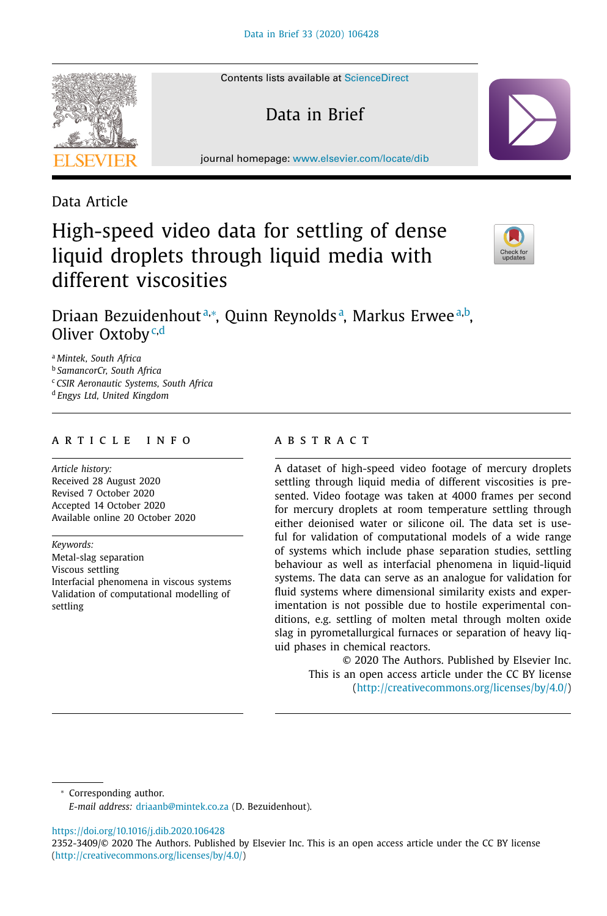Contents lists available at [ScienceDirect](http://www.ScienceDirect.com)

Data in Brief

journal homepage: [www.elsevier.com/locate/dib](http://www.elsevier.com/locate/dib)

Data Article

# High-speed video data for settling of dense liquid droplets through liquid media with different viscosities



Driaan Bezuidenhoutª,\*, Quinn Reynoldsª, Markus Erweeª,b, Oliver Oxtoby<sup>c,d</sup>

<sup>a</sup> *Mintek, South Africa*

<sup>b</sup> *SamancorCr, South Africa*

<sup>c</sup> *CSIR Aeronautic Systems, South Africa*

<sup>d</sup> *Engys Ltd, United Kingdom*

#### a r t i c l e i n f o

*Article history:* Received 28 August 2020 Revised 7 October 2020 Accepted 14 October 2020 Available online 20 October 2020

*Keywords:* Metal-slag separation Viscous settling Interfacial phenomena in viscous systems Validation of computational modelling of settling

# a b s t r a c t

A dataset of high-speed video footage of mercury droplets settling through liquid media of different viscosities is presented. Video footage was taken at 4000 frames per second for mercury droplets at room temperature settling through either deionised water or silicone oil. The data set is useful for validation of computational models of a wide range of systems which include phase separation studies, settling behaviour as well as interfacial phenomena in liquid-liquid systems. The data can serve as an analogue for validation for fluid systems where dimensional similarity exists and experimentation is not possible due to hostile experimental conditions, e.g. settling of molten metal through molten oxide slag in pyrometallurgical furnaces or separation of heavy liquid phases in chemical reactors.

© 2020 The Authors. Published by Elsevier Inc. This is an open access article under the CC BY license [\(http://creativecommons.org/licenses/by/4.0/\)](http://creativecommons.org/licenses/by/4.0/)

<sup>∗</sup> Corresponding author. *E-mail address:* [driaanb@mintek.co.za](mailto:driaanb@mintek.co.za) (D. Bezuidenhout).

<https://doi.org/10.1016/j.dib.2020.106428>



<sup>2352-3409/© 2020</sup> The Authors. Published by Elsevier Inc. This is an open access article under the CC BY license [\(http://creativecommons.org/licenses/by/4.0/\)](http://creativecommons.org/licenses/by/4.0/)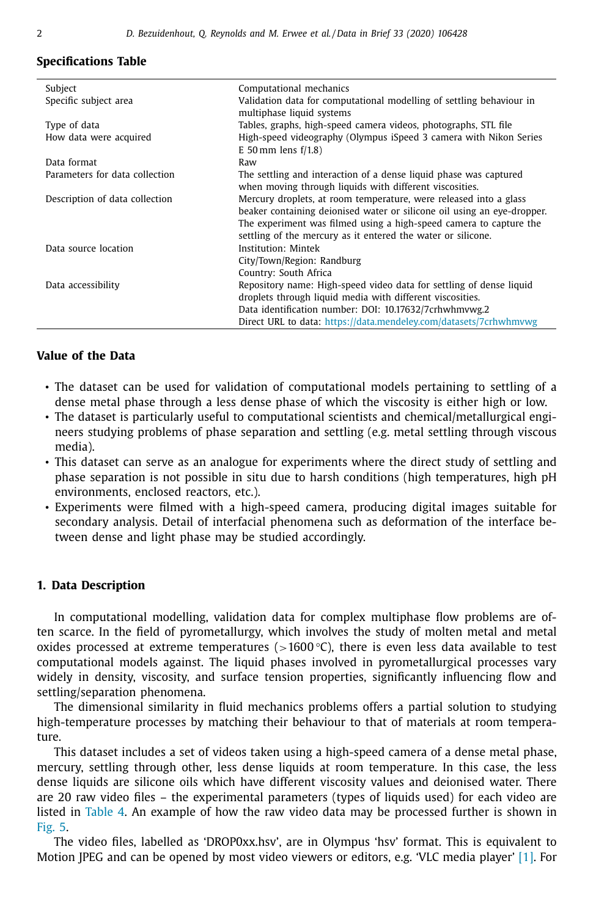## **Specifications Table**

| Subject                        | Computational mechanics                                                                                                                                                                                                                                                            |  |
|--------------------------------|------------------------------------------------------------------------------------------------------------------------------------------------------------------------------------------------------------------------------------------------------------------------------------|--|
| Specific subject area          | Validation data for computational modelling of settling behaviour in<br>multiphase liquid systems                                                                                                                                                                                  |  |
| Type of data                   | Tables, graphs, high-speed camera videos, photographs, STL file                                                                                                                                                                                                                    |  |
| How data were acquired         | High-speed videography (Olympus iSpeed 3 camera with Nikon Series<br>E 50 mm lens $f/1.8$ )                                                                                                                                                                                        |  |
| Data format                    | Raw                                                                                                                                                                                                                                                                                |  |
| Parameters for data collection | The settling and interaction of a dense liquid phase was captured<br>when moving through liquids with different viscosities.                                                                                                                                                       |  |
| Description of data collection | Mercury droplets, at room temperature, were released into a glass<br>beaker containing deionised water or silicone oil using an eye-dropper.<br>The experiment was filmed using a high-speed camera to capture the<br>settling of the mercury as it entered the water or silicone. |  |
| Data source location           | Institution: Mintek                                                                                                                                                                                                                                                                |  |
|                                | City/Town/Region: Randburg                                                                                                                                                                                                                                                         |  |
|                                | Country: South Africa                                                                                                                                                                                                                                                              |  |
| Data accessibility             | Repository name: High-speed video data for settling of dense liquid                                                                                                                                                                                                                |  |
|                                | droplets through liquid media with different viscosities.                                                                                                                                                                                                                          |  |
|                                | Data identification number: DOI: 10.17632/7crhwhmvwg.2                                                                                                                                                                                                                             |  |
|                                | Direct URL to data: https://data.mendeley.com/datasets/7crhwhmvwg                                                                                                                                                                                                                  |  |

# **Value of the Data**

- The dataset can be used for validation of computational models pertaining to settling of a dense metal phase through a less dense phase of which the viscosity is either high or low.
- The dataset is particularly useful to computational scientists and chemical/metallurgical engineers studying problems of phase separation and settling (e.g. metal settling through viscous media).
- This dataset can serve as an analogue for experiments where the direct study of settling and phase separation is not possible in situ due to harsh conditions (high temperatures, high pH environments, enclosed reactors, etc.).
- Experiments were filmed with a high-speed camera, producing digital images suitable for secondary analysis. Detail of interfacial phenomena such as deformation of the interface between dense and light phase may be studied accordingly.

#### **1. Data Description**

In computational modelling, validation data for complex multiphase flow problems are often scarce. In the field of pyrometallurgy, which involves the study of molten metal and metal oxides processed at extreme temperatures ( $>1600$  °C), there is even less data available to test computational models against. The liquid phases involved in pyrometallurgical processes vary widely in density, viscosity, and surface tension properties, significantly influencing flow and settling/separation phenomena.

The dimensional similarity in fluid mechanics problems offers a partial solution to studying high-temperature processes by matching their behaviour to that of materials at room temperature.

This dataset includes a set of videos taken using a high-speed camera of a dense metal phase, mercury, settling through other, less dense liquids at room temperature. In this case, the less dense liquids are silicone oils which have different viscosity values and deionised water. There are 20 raw video files – the experimental parameters (types of liquids used) for each video are listed in [Table](#page-5-0) 4. An example of how the raw video data may be processed further is shown in [Fig.](#page-6-0) 5.

The video files, labelled as 'DROP0xx.hsv', are in Olympus 'hsv' format. This is equivalent to Motion JPEG and can be opened by most video viewers or editors, e.g. 'VLC media player' [\[1\].](#page-7-0) For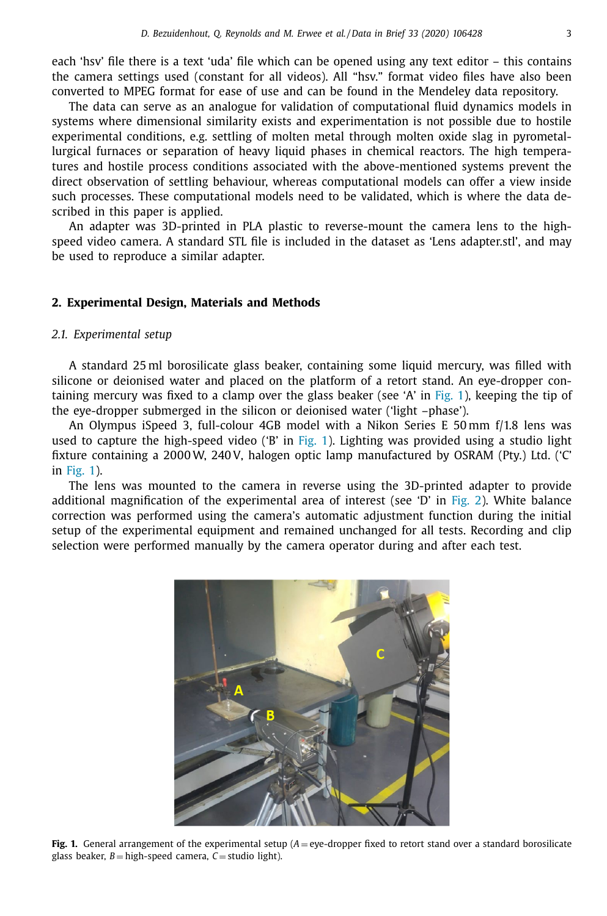each 'hsv' file there is a text 'uda' file which can be opened using any text editor – this contains the camera settings used (constant for all videos). All "hsv." format video files have also been converted to MPEG format for ease of use and can be found in the Mendeley data repository.

The data can serve as an analogue for validation of computational fluid dynamics models in systems where dimensional similarity exists and experimentation is not possible due to hostile experimental conditions, e.g. settling of molten metal through molten oxide slag in pyrometallurgical furnaces or separation of heavy liquid phases in chemical reactors. The high temperatures and hostile process conditions associated with the above-mentioned systems prevent the direct observation of settling behaviour, whereas computational models can offer a view inside such processes. These computational models need to be validated, which is where the data described in this paper is applied.

An adapter was 3D-printed in PLA plastic to reverse-mount the camera lens to the highspeed video camera. A standard STL file is included in the dataset as 'Lens adapter.stl', and may be used to reproduce a similar adapter.

## **2. Experimental Design, Materials and Methods**

#### *2.1. Experimental setup*

A standard 25 ml borosilicate glass beaker, containing some liquid mercury, was filled with silicone or deionised water and placed on the platform of a retort stand. An eye-dropper containing mercury was fixed to a clamp over the glass beaker (see 'A' in Fig. 1), keeping the tip of the eye-dropper submerged in the silicon or deionised water ('light –phase').

An Olympus iSpeed 3, full-colour 4GB model with a Nikon Series E 50 mm f/1.8 lens was used to capture the high-speed video ('B' in Fig. 1). Lighting was provided using a studio light fixture containing a 2000W, 240 V, halogen optic lamp manufactured by OSRAM (Pty.) Ltd. ('C' in Fig. 1).

The lens was mounted to the camera in reverse using the 3D-printed adapter to provide additional magnification of the experimental area of interest (see  $D'$  in [Fig.](#page-3-0) 2). White balance correction was performed using the camera's automatic adjustment function during the initial setup of the experimental equipment and remained unchanged for all tests. Recording and clip selection were performed manually by the camera operator during and after each test.



**Fig. 1.** General arrangement of the experimental setup (*A* = eye-dropper fixed to retort stand over a standard borosilicate glass beaker,  $B =$ high-speed camera,  $C =$ studio light).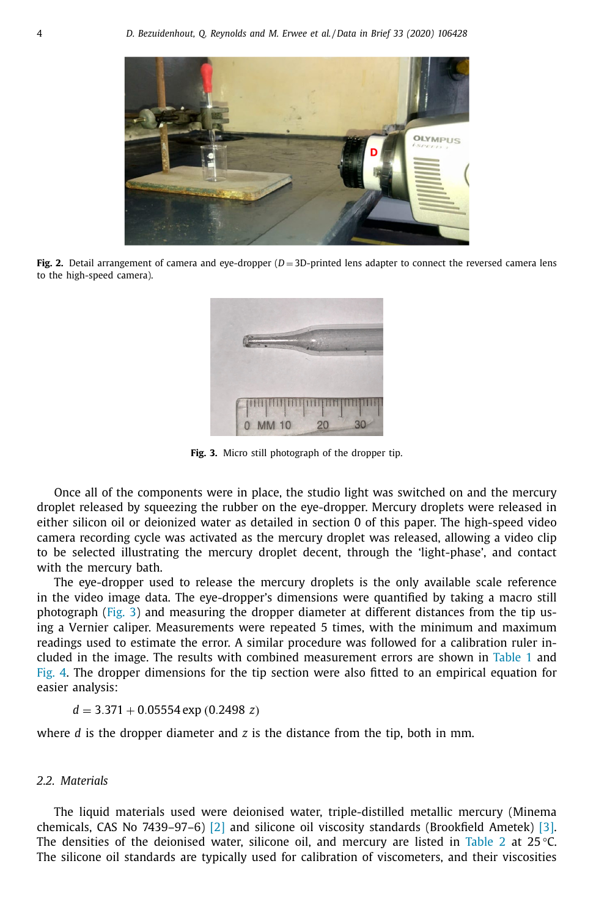<span id="page-3-0"></span>

**Fig. 2.** Detail arrangement of camera and eye-dropper (*D* = 3D-printed lens adapter to connect the reversed camera lens to the high-speed camera).



**Fig. 3.** Micro still photograph of the dropper tip.

Once all of the components were in place, the studio light was switched on and the mercury droplet released by squeezing the rubber on the eye-dropper. Mercury droplets were released in either silicon oil or deionized water as detailed in section 0 of this paper. The high-speed video camera recording cycle was activated as the mercury droplet was released, allowing a video clip to be selected illustrating the mercury droplet decent, through the 'light-phase', and contact with the mercury bath.

The eye-dropper used to release the mercury droplets is the only available scale reference in the video image data. The eye-dropper's dimensions were quantified by taking a macro still photograph (Fig. 3) and measuring the dropper diameter at different distances from the tip using a Vernier caliper. Measurements were repeated 5 times, with the minimum and maximum readings used to estimate the error. A similar procedure was followed for a calibration ruler included in the image. The results with combined measurement errors are shown in [Table](#page-4-0) 1 and [Fig.](#page-4-0) 4. The dropper dimensions for the tip section were also fitted to an empirical equation for easier analysis:

$$
d = 3.371 + 0.05554 \exp(0.2498 z)
$$

where *d* is the dropper diameter and *z* is the distance from the tip, both in mm.

#### *2.2. Materials*

The liquid materials used were deionised water, triple-distilled metallic mercury (Minema chemicals, CAS No 7439–97–6) [\[2\]](#page-7-0) and silicone oil viscosity standards (Brookfield Ametek) [\[3\].](#page-7-0) The densities of the deionised water, silicone oil, and mercury are listed in [Table](#page-4-0) 2 at 25 °C. The silicone oil standards are typically used for calibration of viscometers, and their viscosities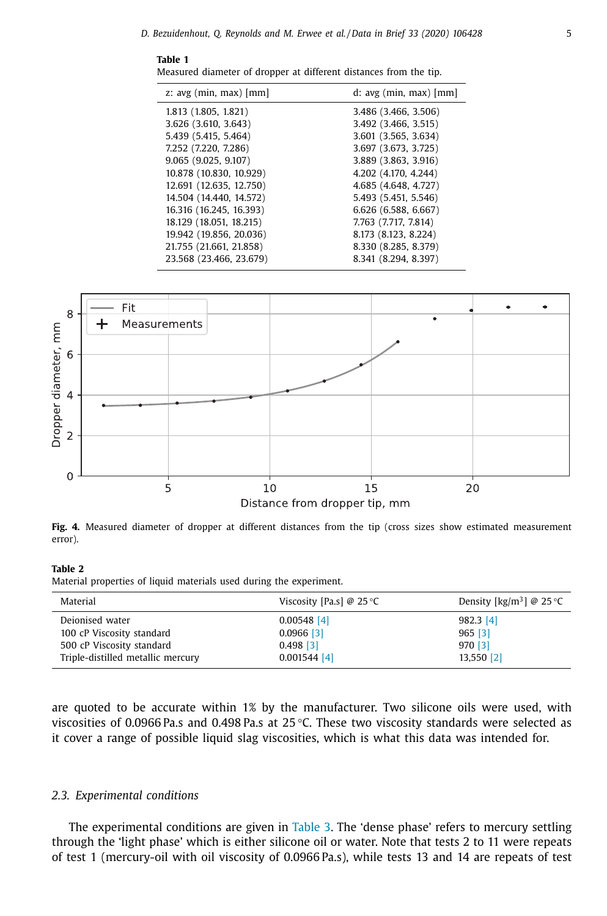#### <span id="page-4-0"></span>**Table 1**

Measured diameter of dropper at different distances from the tip.

| z: $avg$ (min, max) [mm] | $d$ : avg (min, max) [mm] |
|--------------------------|---------------------------|
| 1.813 (1.805, 1.821)     | 3.486 (3.466, 3.506)      |
| 3.626 (3.610, 3.643)     | 3.492 (3.466, 3.515)      |
| 5.439 (5.415, 5.464)     | 3.601 (3.565, 3.634)      |
| 7.252 (7.220, 7.286)     | 3.697 (3.673, 3.725)      |
| 9.065 (9.025, 9.107)     | 3.889 (3.863, 3.916)      |
| 10.878 (10.830, 10.929)  | 4.202 (4.170, 4.244)      |
| 12.691 (12.635, 12.750)  | 4.685 (4.648, 4.727)      |
| 14.504 (14.440, 14.572)  | 5.493 (5.451, 5.546)      |
| 16.316 (16.245, 16.393)  | 6.626 (6.588, 6.667)      |
| 18.129 (18.051, 18.215)  | 7.763 (7.717, 7.814)      |
| 19.942 (19.856, 20.036)  | 8.173 (8.123, 8.224)      |
| 21,755 (21,661, 21,858)  | 8.330 (8.285, 8.379)      |
| 23.568 (23.466, 23.679)  | 8.341 (8.294, 8.397)      |
|                          |                           |



**Fig. 4.** Measured diameter of dropper at different distances from the tip (cross sizes show estimated measurement error).

## **Table 2**

Material properties of liquid materials used during the experiment.

| Material                          | Viscosity [Pa.s] @ 25 °C | Density [kg/m <sup>3</sup> ] @ 25 °C |
|-----------------------------------|--------------------------|--------------------------------------|
| Dejonised water                   | $0.00548$ [4]            | $982.3$ [4]                          |
| 100 cP Viscosity standard         | $0.0966$ [3]             | $965$ [3]                            |
| 500 cP Viscosity standard         | $0.498$ [3]              | 970 [3]                              |
| Triple-distilled metallic mercury | $0.001544$ [4]           | 13,550 [2]                           |

are quoted to be accurate within 1% by the manufacturer. Two silicone oils were used, with viscosities of 0.0966 Pa.s and 0.498 Pa.s at 25 °C. These two viscosity standards were selected as it cover a range of possible liquid slag viscosities, which is what this data was intended for.

#### *2.3. Experimental conditions*

The experimental conditions are given in [Table](#page-5-0) 3. The 'dense phase' refers to mercury settling through the 'light phase' which is either silicone oil or water. Note that tests 2 to 11 were repeats of test 1 (mercury-oil with oil viscosity of 0.0966 Pa.s), while tests 13 and 14 are repeats of test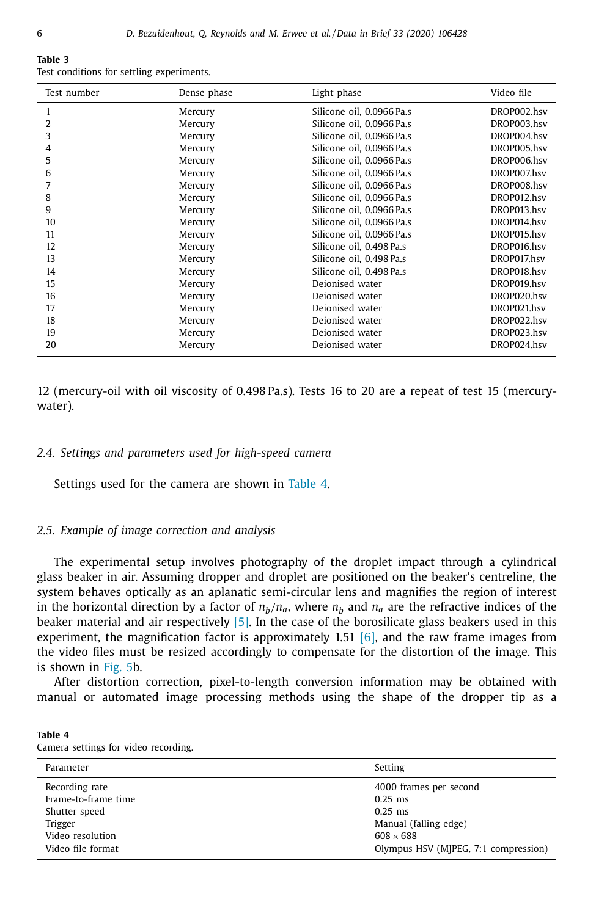#### <span id="page-5-0"></span>**Table 3** Test conditions for settling experiments.

| Test number | Dense phase | Light phase               | Video file  |
|-------------|-------------|---------------------------|-------------|
|             | Mercury     | Silicone oil, 0.0966 Pa.s | DROP002.hsv |
| 2           | Mercury     | Silicone oil, 0.0966 Pa.s | DROP003.hsv |
| 3           | Mercury     | Silicone oil, 0.0966 Pa.s | DROP004.hsv |
| 4           | Mercury     | Silicone oil. 0.0966 Pa.s | DROP005.hsv |
| 5           | Mercury     | Silicone oil, 0.0966 Pa.s | DROP006.hsv |
| 6           | Mercury     | Silicone oil, 0.0966 Pa.s | DROP007.hsv |
|             | Mercury     | Silicone oil, 0.0966 Pa.s | DROP008.hsv |
| 8           | Mercury     | Silicone oil, 0.0966 Pa.s | DROP012.hsv |
| 9           | Mercury     | Silicone oil. 0.0966 Pa.s | DROP013.hsv |
| 10          | Mercury     | Silicone oil. 0.0966 Pa.s | DROP014.hsv |
| 11          | Mercury     | Silicone oil. 0.0966 Pa.s | DROP015.hsv |
| 12          | Mercury     | Silicone oil. 0.498 Pa.s  | DROP016.hsv |
| 13          | Mercury     | Silicone oil. 0.498 Pa.s  | DROP017.hsv |
| 14          | Mercury     | Silicone oil, 0.498 Pa.s  | DROP018.hsv |
| 15          | Mercury     | Dejonised water           | DROP019.hsv |
| 16          | Mercury     | Dejonised water           | DROP020.hsv |
| 17          | Mercury     | Dejonised water           | DROP021.hsv |
| 18          | Mercury     | Dejonised water           | DROP022.hsv |
| 19          | Mercury     | Deionised water           | DROP023.hsv |
| 20          | Mercury     | Deionised water           | DROP024.hsv |

12 (mercury-oil with oil viscosity of 0.498 Pa.s). Tests 16 to 20 are a repeat of test 15 (mercurywater).

#### *2.4. Settings and parameters used for high-speed camera*

Settings used for the camera are shown in Table 4.

#### *2.5. Example of image correction and analysis*

The experimental setup involves photography of the droplet impact through a cylindrical glass beaker in air. Assuming dropper and droplet are positioned on the beaker's centreline, the system behaves optically as an aplanatic semi-circular lens and magnifies the region of interest in the horizontal direction by a factor of  $n_b/n_a$ , where  $n_b$  and  $n_a$  are the refractive indices of the beaker material and air respectively  $[5]$ . In the case of the borosilicate glass beakers used in this experiment, the magnification factor is approximately 1.51  $[6]$ , and the raw frame images from the video files must be resized accordingly to compensate for the distortion of the image. This is shown in [Fig.](#page-6-0) 5b.

After distortion correction, pixel-to-length conversion information may be obtained with manual or automated image processing methods using the shape of the dropper tip as a

| Table 4 |  |                                      |
|---------|--|--------------------------------------|
|         |  | Camera settings for video recording. |

| Parameter           | Setting                              |
|---------------------|--------------------------------------|
| Recording rate      | 4000 frames per second               |
| Frame-to-frame time | $0.25$ ms                            |
| Shutter speed       | $0.25$ ms                            |
| Trigger             | Manual (falling edge)                |
| Video resolution    | $608 \times 688$                     |
| Video file format   | Olympus HSV (MJPEG, 7:1 compression) |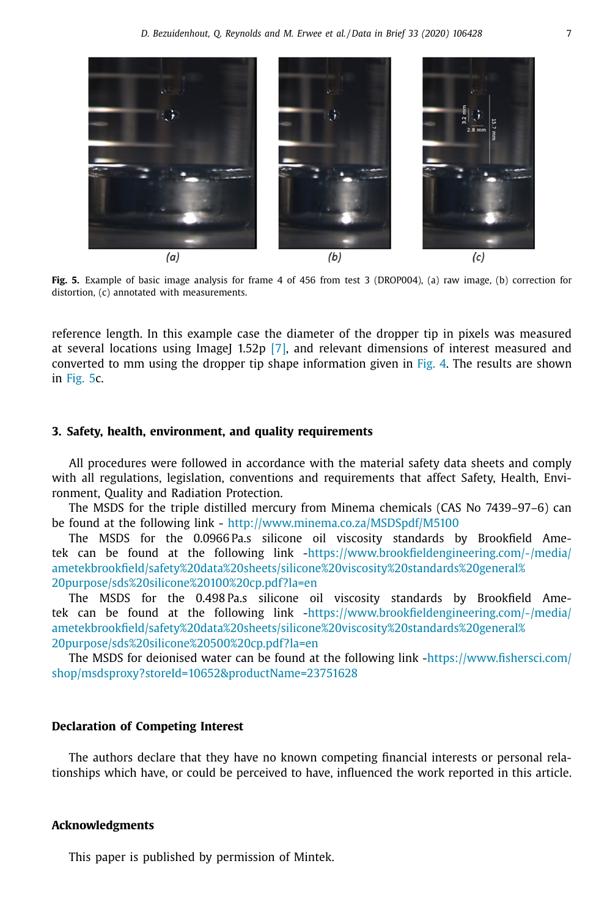<span id="page-6-0"></span>

**Fig. 5.** Example of basic image analysis for frame 4 of 456 from test 3 (DROP004), (a) raw image, (b) correction for distortion, (c) annotated with measurements.

reference length. In this example case the diameter of the dropper tip in pixels was measured at several locations using ImageJ 1.52p  $[7]$ , and relevant dimensions of interest measured and converted to mm using the dropper tip shape information given in [Fig.](#page-4-0) 4. The results are shown in Fig. 5c.

## **3. Safety, health, environment, and quality requirements**

All procedures were followed in accordance with the material safety data sheets and comply with all regulations, legislation, conventions and requirements that affect Safety, Health, Environment, Quality and Radiation Protection.

The MSDS for the triple distilled mercury from Minema chemicals (CAS No 7439–97–6) can be found at the following link - <http://www.minema.co.za/MSDSpdf/M5100>

The MSDS for the 0.0966 Pa.s silicone oil viscosity standards by Brookfield Ametek can be found at the following link -https://www.brookfieldengineering.com/-/media/ [ametekbrookfield/safety%20data%20sheets/silicone%20viscosity%20standards%20general%](https://www.brookfieldengineering.com/-/media/ametekbrookfield/safety%20data%20sheets/silicone%20viscosity%20standards%20general%20purpose/sds%20silicone%20100%20cp.pdf?la=en) 20purpose/sds%20silicone%20100%20cp.pdf?la=en

The MSDS for the 0.498 Pa.s silicone oil viscosity standards by Brookfield Ametek can be found at the following link -https://www.brookfieldengineering.com/-/media/ [ametekbrookfield/safety%20data%20sheets/silicone%20viscosity%20standards%20general%](https://www.brookfieldengineering.com/-/media/ametekbrookfield/safety%20data%20sheets/silicone%20viscosity%20standards%20general%20purpose/sds%20silicone%20500%20cp.pdf?la=en) 20purpose/sds%20silicone%20500%20cp.pdf?la=en

The MSDS for deionised water can be found at the following link -https://www.fishersci.com/ [shop/msdsproxy?storeId=10652&productName=23751628](https://www.fishersci.com/shop/msdsproxy?storeId=10652&productName=23751628)

## **Declaration of Competing Interest**

The authors declare that they have no known competing financial interests or personal relationships which have, or could be perceived to have, influenced the work reported in this article.

#### **Acknowledgments**

This paper is published by permission of Mintek.